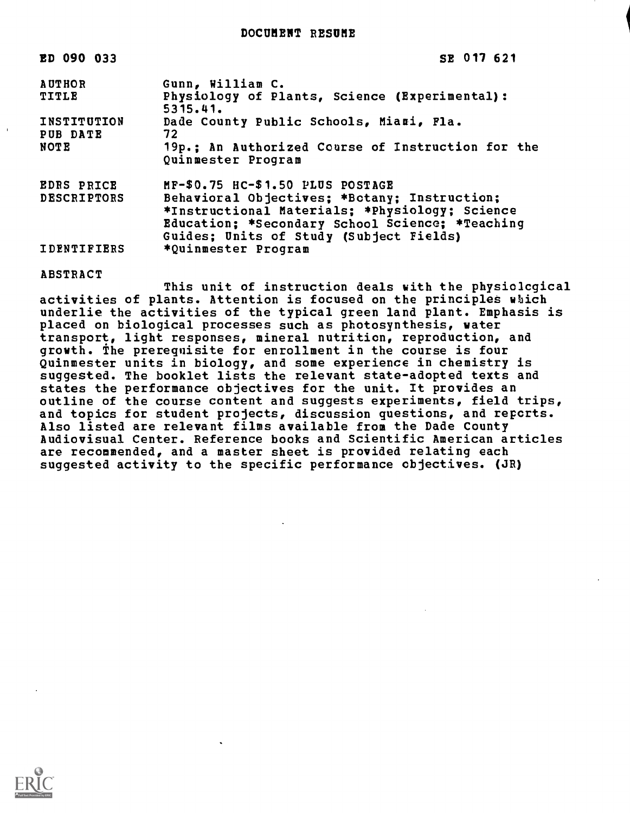DOCUMENT RESUME

| ED 090 033                              | SE 017 621                                                                                                                                                                                                                       |
|-----------------------------------------|----------------------------------------------------------------------------------------------------------------------------------------------------------------------------------------------------------------------------------|
| <b>AUTHOR</b><br>TITLE                  | Gunn, William C.<br>Physiology of Plants, Science (Experimental):<br>5315.41.                                                                                                                                                    |
| <b>INSTITUTION</b><br>PUB DATE<br>NOTE  | Dade County Public Schools, Miami, Fla.<br>72<br>19p.; An Authorized Course of Instruction for the<br>Quinmester Program                                                                                                         |
| <b>EDRS PRICE</b><br><b>DESCRIPTORS</b> | MF-\$0.75 HC-\$1.50 PLUS POSTAGE<br>Behavioral Objectives; *Botany; Instruction;<br>*Instructional Materials; *Physiology; Science<br>Education; *Secondary School Science; *Teaching<br>Guides; Units of Study (Subject Fields) |
| <b>IDENTIFIERS</b>                      | *Quinmester Program                                                                                                                                                                                                              |

#### ABSTRACT

This unit of instruction deals with the physiological activities of plants. Attention is focused on the principles which underlie the activities of the typical green land plant. Emphasis is placed on biological processes such as photosynthesis, water transport, light responses, mineral nutrition, reproduction, and growth. The prerequisite for enrollment in the course is four Quinmester units in biology, and some experience in chemistry is suggested. The booklet lists the relevant state-adopted texts and states the performance objectives for the unit. It provides an outline of the course content and suggests experiments, field trips, and topics for student projects, discussion questions, and reports. Also listed are relevant films available from the Dade County Audiovisual Center. Reference books and Scientific American articles are recommended, and a master sheet is provided relating each suggested activity to the specific performance objectives. (JR)

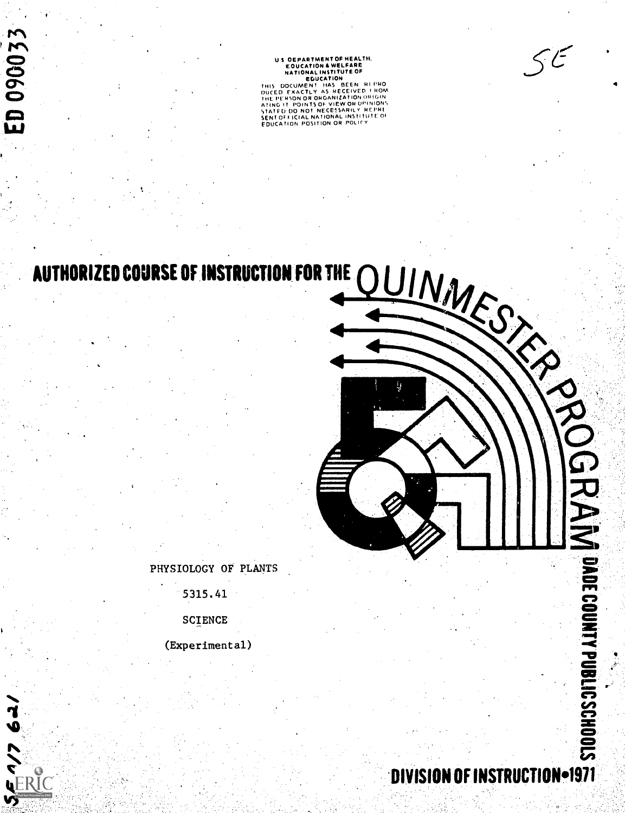DIVISION OF INSTRUCTION-1971

(Experimental)

**SCIENCE** 

5315.41

PHYSIOLOGY OF PLANTS

ED 090033

 $\overline{59}$ 

SERIC<br>SERIC

AUTHORIZED COURSE OF INSTRUCTION FOR THE

US DEPARTMENT OF HEALTH, EDUCATION A WELFARE<br>HATIONAL INSTITUTE OF EDUCATION<br>EDUCATION<br>THIS DOCUMENT HAS BEEN RI PRO<br>DIKED EXACTLY AS RECEIVED F 140M THE PERSON OR ORGANIZATION ORIGIN<br>STATED DO NOT NECESSARILY MCPINIONS<br>STATED DO NOT NECESSARILY MCPHI<br>SENT OFFICIAL NATIONAL INSTITUTE: OF<br>EDUCATION POSITION OR POLICY

 $\leq$  $\in$ 

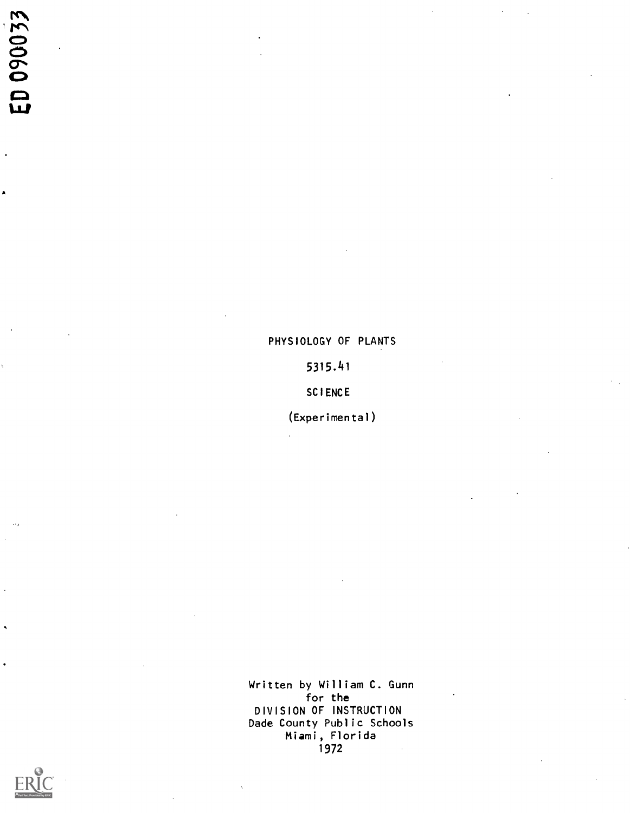# ED 090033

# PHYSIOLOGY OF PLANTS

5315.41

SCIENCE

(Experimental)

Written by William C. Gunn for the DIVISION OF INSTRUCTION Dade County Public Schools Miami, Florida 1972

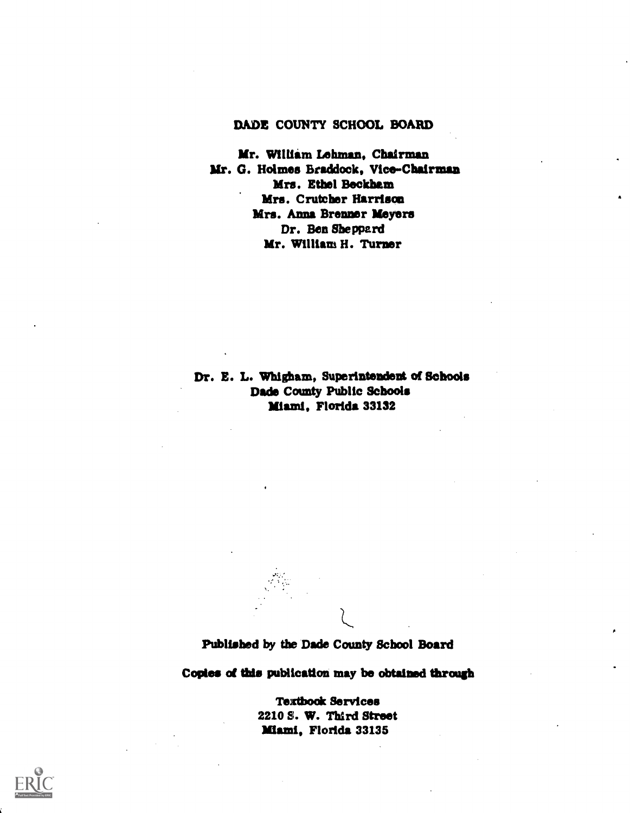#### DADE COUNTY SCHOOL BOARD

Mr. William Lehman, Chairman Mr. G. Holmes Braddock, Vice-Chairman Mrs. Ethel Beckham Mrs. Crutcher Harrison Mrs. Anna Brenner Meyers Dr. Ben Sheppard Mr. William H. Turner

Dr. E. L. Whigham, Superintendent of Schools Dade County Public Schools Miami, Florida 33132

Published by the Dade County School Board

Copies of this publication may be obtained through

Textbook Services 2210 S. W. Third Street Miami, Florida 33135

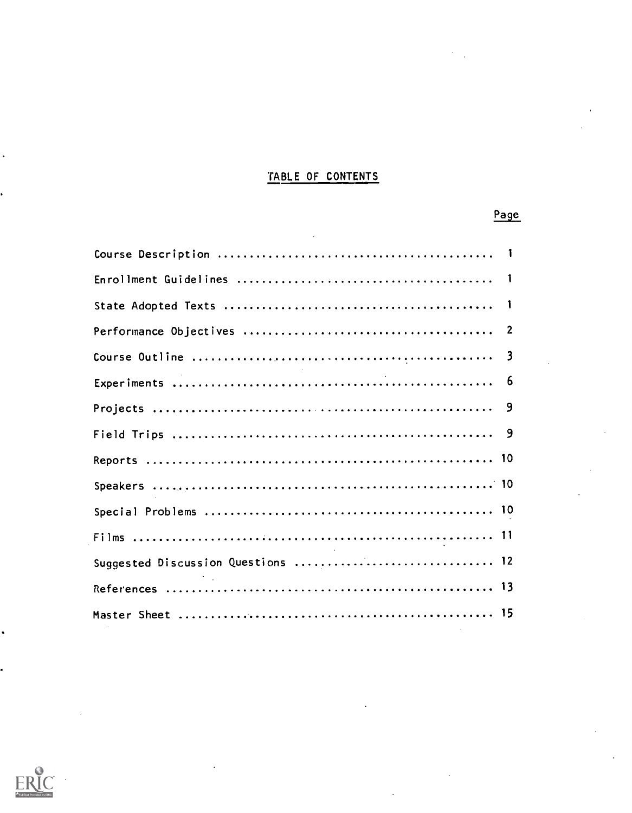### TABLE OF CONTENTS

Page

# Course Description <sup>1</sup> Enrollment Guidelines <sup>1</sup> State Adopted Texts <sup>1</sup> Performance Objectives 2 Course Outline <sup>3</sup> Experiments 6 Projects 9 Field Trips 9 Reports 10 Speakers 10 Special Problems 10 Films 11 Suggested Discussion Questions .................................. 12 References 13 Master Sheet 15

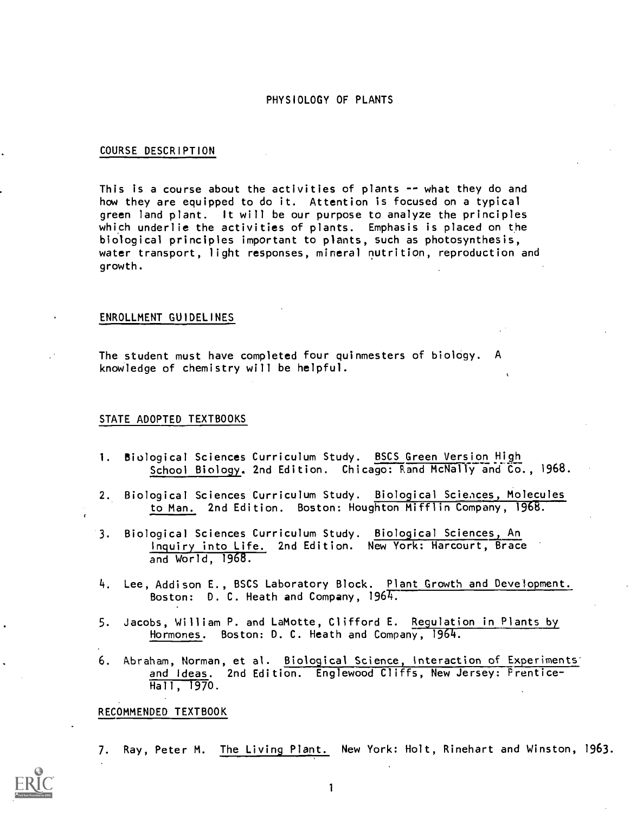#### PHYSIOLOGY OF PLANTS

#### COURSE DESCRIPTION

This is a course about the activities of plants  $-$ - what they do and how they are equipped to do it. Attention is focused on a typical green land plant. It will be our purpose to analyze the principles which underlie the activities of plants. Emphasis is placed on the biological principles important to plants, such as photosynthesis, water transport, light responses, mineral nutrition, reproduction and growth.

#### ENROLLMENT GUIDELINES

The student must have completed four quinmesters of biology. A knowledge of chemistry will be helpful.

#### STATE ADOPTED TEXTBOOKS

- 1. Biological Sciences Curriculum Study. BSCS Green Version High School Biology. 2nd Edition. Chicago: Rand McNally and Co., 1968.
- 2. Biological Sciences Curriculum Study. Biological Sciences, Molecules to Man. 2nd Edition. Boston: Houghton Mifflin Company, 1968.
- 3. Biological Sciences Curriculum Study. Biological Sciences An Inquiry into Life. 2nd Edition. New York: Harcourt, Brace and World, 1968.
- 4. Lee, Addison E., BSCS Laboratory Block. Plant Growth and Development. Boston:  $D. C.$  Heath and Company,  $1964.$
- 5. Jacobs, William P. and LaMotte, Clifford E. Regulation in Plants by Hormones. Boston: D. C. Heath and Company, 1964.
- 6. Abraham, Norman, et al. Biological Science, Interaction of Experiments and Ideas. 2nd Edition. Englewood Cliffs, New Jersey: Prentice-Hall, 1970.

RECOMMENDED TEXTBOOK

7. Ray, Peter M. The Living Plant. New York: Holt, Rinehart and Winston, 1963.

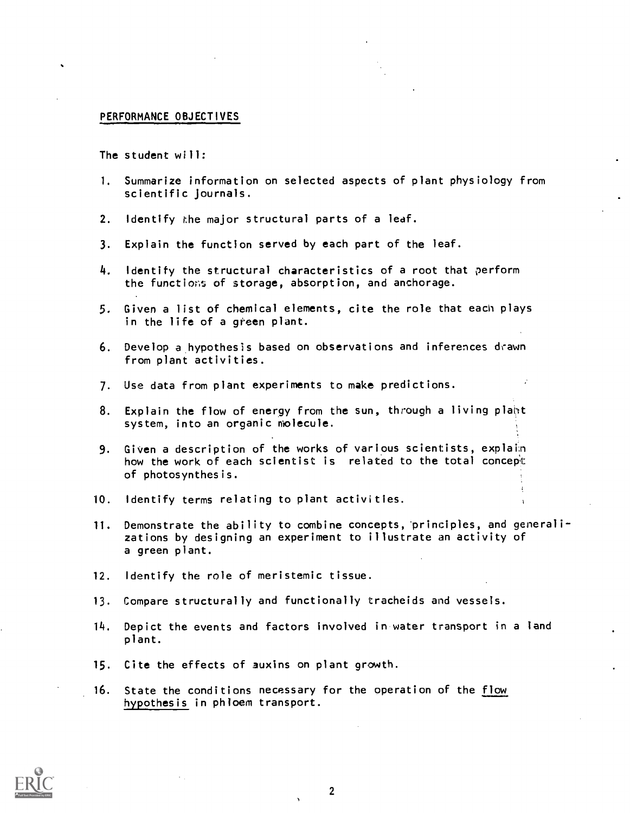#### PERFORMANCE OBJECTIVES

The student will:

- 1. Summarize information on selected aspects of plant physiology from scientific Journals.
- 2. Identify the major structural parts of a leaf.
- 3. Explain the function served by each part of the leaf.
- 4. Identify the structural characteristics of a root that perform the functions of storage, absorption, and anchorage.
- 5. Given a list of chemical elements, cite the role that each plays in the life of a green plant.
- 6. Develop a hypothesis based on observations and inferences drawn from plant activities.
- 7. Use data from plant experiments to make predictions.
- 8. Explain the flow of energy from the sun, through a living plant system, into an organic molecule.
- 9. Given a description of the works of various scientists, explain how the work of each scientist is related to the total concept of photosynthesis.
- 10. Identify terms relating to plant activities.
- 11. Demonstrate the ability to combine concepts, principles, and generalizations by designing an experiment to illustrate an activity of a green plant.
- 12. Identify the role of meristemic tissue.
- 13. Compare structurally and functionally tracheids and vessels.
- 14. Depict the events and factors involved in water transport in a land plant.
- 15. Cite the effects of auxins on plant growth.
- 16. State the conditions necessary for the operation of the flow hypothesis in phloem transport.

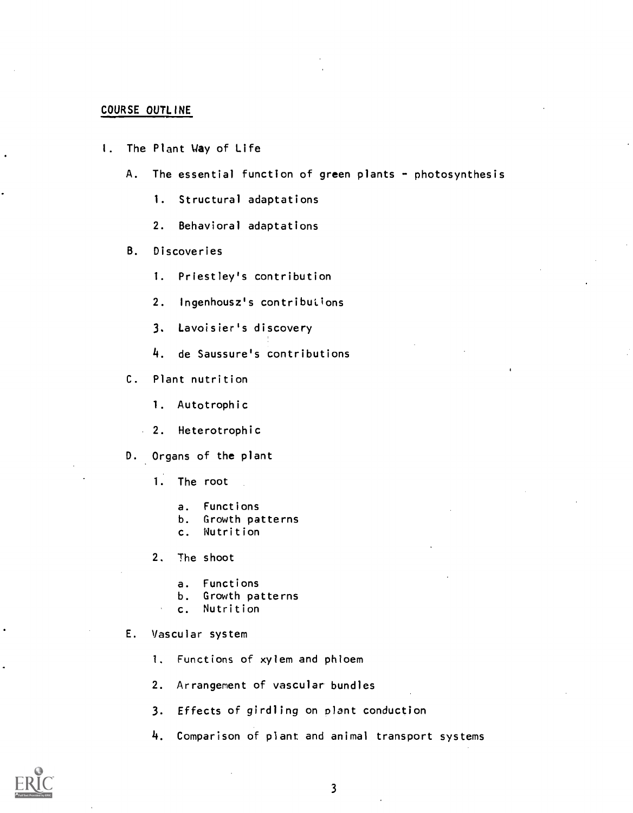#### COURSE OUTLINE

- I. The Plant Way of Life
	- A. The essential function of green plants photosynthesis
		- 1. Structural adaptations
		- 2. Behavioral adaptations
	- B. Discoveries
		- 1. Priestley's contribution
		- 2. Ingenhousz's contributions
		- 3. Lavoisier's discovery
		- 4. de Saussure's contributions
	- C. Plant nutrition
		- 1. Autotrophic
		- 2. Heterotrophic
	- D. Organs of the plant
		- 1. The root
			- a. Functions
			- b. Growth patterns<br>c. Nutrition
			- **Nutrition**
		- 2. The shoot
			- a. Functions
			- b. Growth patterns
			- c. Nutrition

E. Vascular system

1. Functions of xylem and phloem

- 2. Arrangement of vascular bundles
- 3. Effects of girdling on plant conduction
- 4. Comparison of plant and animal transport systems

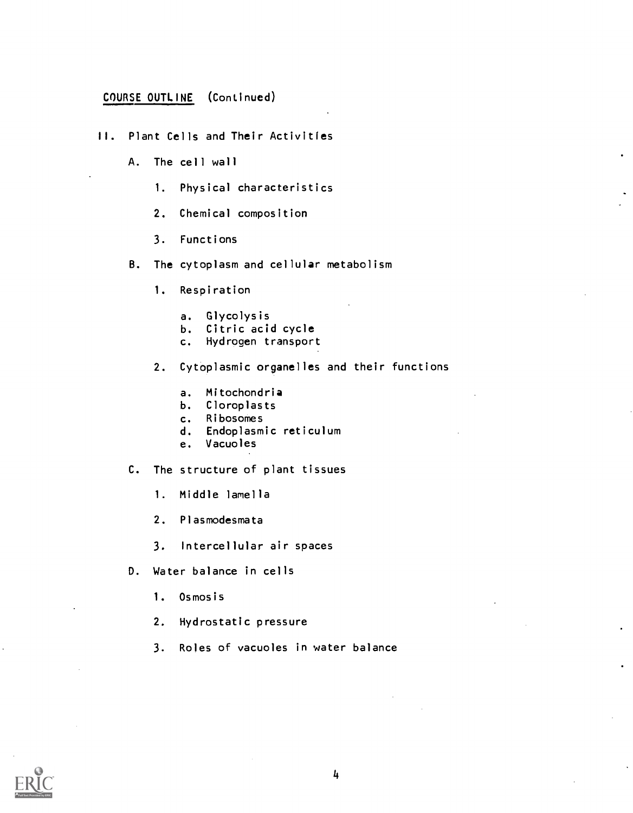# COURSE OUTLINE (Continued)

- II. Plant Cells and Their Activities
	- A. The cell wall
		- 1. Physical characteristics
		- 2. Chemical composition
		- 3. Functions
	- B. The cytoplasm and cellular metabolism
		- 1. Respiration
			- a. Glycolysis
			- b. Citric acid cycle
			- c. Hydrogen transport
		- 2. Cytoplasmic organelles and their functions
			- a. Mitochondria
			- b. Cloroplasts
			- c. Ribosomes
			- d. Endoplasmic reticulum
			- e. Vacuoles

C. The structure of plant tissues

- 1. Middle lamella
- 2. Plasmodesmata
- 3. Intercellular air spaces
- D. Water balance in cells
	- 1. Osmosis
	- 2. Hydrostatic pressure
	- 3. Roles of vacuoles in water balance

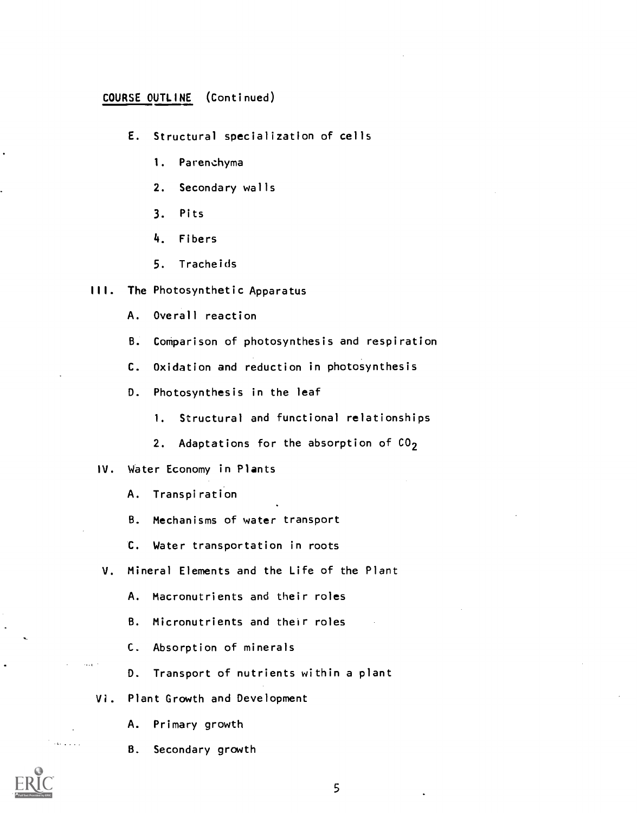#### COURSE OUTLINE (Continued)

- E. Structural specialization of cells
	- 1. Parenchyma
	- 2. Secondary walls
	- 3. Pits
	- 4. Fibers
	- 5. Tracheids

#### III. The Photosynthetic Apparatus

- A. Overall reaction
- B. Comparison of photosynthesis and respiration
- C. Oxidation and reduction in photosynthesis
- D. Photosynthesis in the leaf
	- 1. Structural and functional relationships
	- 2. Adaptations for the absorption of  $CO<sub>2</sub>$

#### IV. Water Economy in Plants

- A. Transpiration
- B. Mechanisms of water transport
- C. Water transportation in roots
- V. Mineral Elements and the Life of the Plant
	- A. Macronutrients and their roles
	- B. Micronutrients and their roles
	- C. Absorption of minerals
	- D. Transport of nutrients within a plant
- Vi. Plant Growth and Development
	- A. Primary growth
	- B. Secondary growth

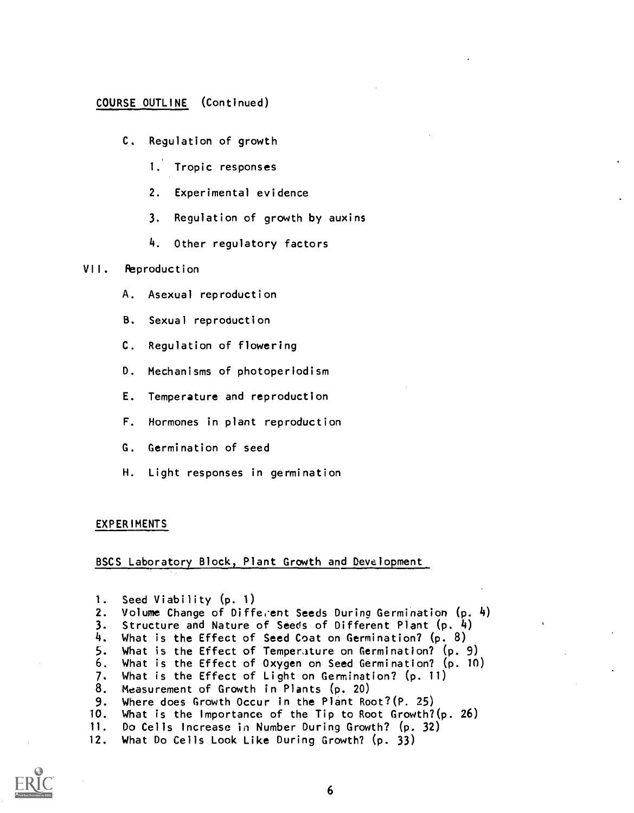# COURSE OUTLINE (Continued)

- C. Regulation of growth
	- 1. Tropic responses
	- 2. Experimental evidence
	- 3. Regulation of growth by auxins
	- 4. Other regulatory factors

#### VII. Reproduction

- A. Asexual reproduction
- B. Sexual reproduction
- C. Regulation of flowering
- D. Mechanisms of photoperiodism
- E. Temperature and reproduction
- F. Hormones in plant reproduction
- G. Germination of seed
- H. Light responses in germination

#### EXPERIMENTS

BSCS Laboratory Block, Plant Growth and Development

| 1. Seed Viability (p. 1)                                      |  |
|---------------------------------------------------------------|--|
| 2. Volume Change of Different Seeds During Germination (p. 4) |  |
| 3. Structure and Nature of Seeds of Different Plant (p. 4)    |  |
| 4. What is the Effect of Seed Coat on Germination? $(p, 8)$   |  |
| 5. What is the Effect of Temperature on Germination? (p. 9)   |  |
| 6. What is the Effect of Oxygen on Seed Germination? (p. 10)  |  |
| 7. What is the Effect of Light on Germination? (p. 11)        |  |
| 8. Measurement of Growth in Plants (p. 20)                    |  |
| 9. Where does Growth Occur in the Plant Root? (P. 25)         |  |
| 10. What is the Importance of the Tip to Root Growth?(p. 26)  |  |
| 11. Do Cells Increase in Number During Growth? (p. 32)        |  |
| 12. What Do Cells Look Like During Growth? (p. 33)            |  |
|                                                               |  |

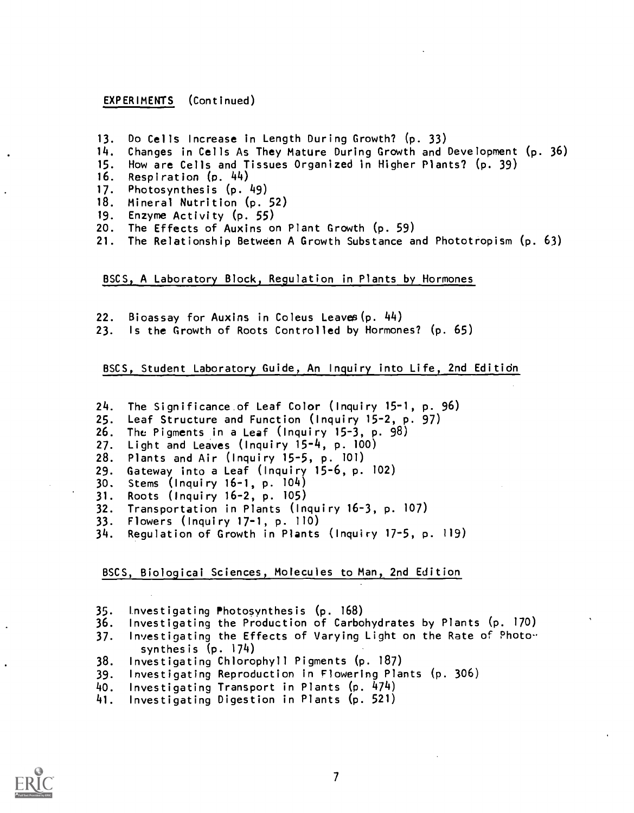EXPERIMENTS (Continued)

- 13. Do Cells Increase in Length During Growth? (p. 33)<br>14. Changes in Cells As They Mature During Growth and 0
- Changes in Cells As They Mature During Growth and Development  $(p. 36)$
- 15. How are Cells and Tissues Organized in Higher Plants? (p. 39)<br>16. Respiration (p. 44)
- 16. Respiration  $(p. 44)$ <br>17. Photosynthesis  $(p.$
- 17. Photosynthesis (p. 49)<br>18. Mineral Nutrition (p.
- Mineral Nutrition (p. 52)
- 19. Enzyme Activity (p. 55)
- 20. The Effects of Auxins on Plant Growth (p. 59)<br>21. The Relationship Between A Growth Substance a
- The Relationship Between A Growth Substance and Phototropism (p. 63)

BSCS, A Laboratory Block, Regulation in Plants by Hormones

- 22. Bioassay for Auxins in Coleus Leaves(p. 44)
- 23. Is the Growth of Roots Controlled by Hormones? (p. 65)

BSCS, Student Laboratory Guide, An Inquiry into Life, 2nd Editidn

- 24. The Significance of Leaf Color (Inquiry 15-1, p. 96)
- 
- 25. Leaf Structure and Function (Inquiry 15-2, p. 97) The Pigments in a Leaf (Inquiry 15-3, p. 98)
- 27. Light and Leaves (Inquiry 15-4, p. 100)
- 
- 28. Plants and Air (Inquiry 15-5, p. 101) Gateway into a Leaf (Inquiry 15-6, p. 102)
- 30. Stems (Inquiry 16-1, p. 104)
- 31. Roots (Inquiry 16-2, p. 105)
- Transportation in Plants (Inquiry 16-3, p. 107)
- 33. Flowers (Inquiry 17-1, p. 110)
- Regulation of Growth in Plants (Inquiry 17-5, p. 119)

BSCS, Biologicai Sciences, Molecules to Man, 2nd Edition

- 35. Investigating Photosynthesis (p. 168)
- Investigating the Production of Carbohydrates by Plants (p. 170)
- 37. Investigating the Effects of Varying Light on the Rate of Photosynthesis (p. 174)
- 38. Investigating Chlorophyll Pigments (p. 187)
- 39. Investigating Reproduction in Flowering Plants (p. 306)
- 40. Investigating Transport in Plants (p. 474)
- 41. Investigating Digestion in Plants (p. 521)

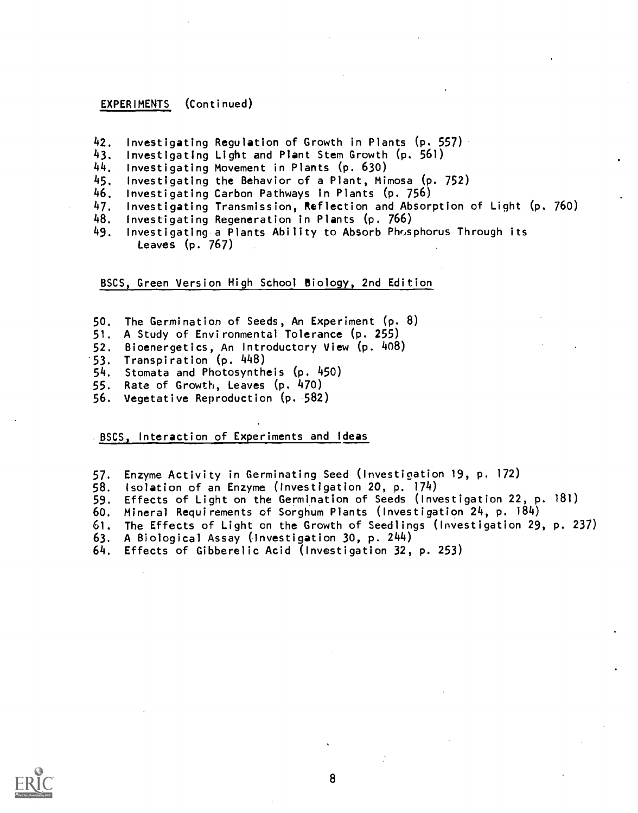EXPERIMENTS (Continued)

- 42. Investigating Regulation of Growth in Plants  $(p, 557)$ .<br>43. Investigating Light and Plant Stem Growth  $(p, 561)$
- 43. Investigating Light and Plant Stem Growth (p. 561)
- 
- 44. Investigating Movement in Plants (p. 630) 45. Investigating the Behavior of a Plant, Mimosa (p. 752)
- 46. Investigating Carbon Pathways in Plants (p. 756)
- 47. Investigating Transmission, Reflection and Absorption of Light (p. 760)<br>48. Investigating Regeneration in Plants (p. 766)
- 48. Investigating Regeneration in Plants (p. 766)
- Investigating a Plants Ability to Absorb Phosphorus Through its Leaves (p. 767)

BSCS, Green Version Nish School Biology, 2nd Edition

- 50. The Germination of Seeds, An Experiment (p. 8)<br>51. A Study of Environmental Tolerance (p. 255)
- A Study of Environmental Tolerance (p. 255)
- 52. Bioenergetics, An Introductory View (p. 408)
- 
- 53. Transpiration (p. 448) 54. Stomata and Photosyntheis (p. 450)<br>55. Rate of Growth, Leaves (p. 470)
- Rate of Growth, Leaves (p. 470)
- 56. Vegetative Reproduction (p. 582)

BSCS, Interaction of Experiments and Ideas

- 57. Enzyme Activity in Germinating Seed ( Investigation 19, p. 172)
- 
- 58. Isolation of an Enzyme (Investigation 20, p. 174)<br>59. Effects of Light on the Germination of Seeds (Inve Effects of Light on the Germination of Seeds (Investigation 22, p. 181)
- 60. Mineral Requirements of Sorghum Plants (Investigation 24, p. 184)
- 61. The Effects of Light on the Growth of Seedlings (Investigation 29, p. 237)
- 63. A Biological Assay (Investigation 30, p. 244)

Effects of Gibberelic Acid (Investigation 32, p. 253)

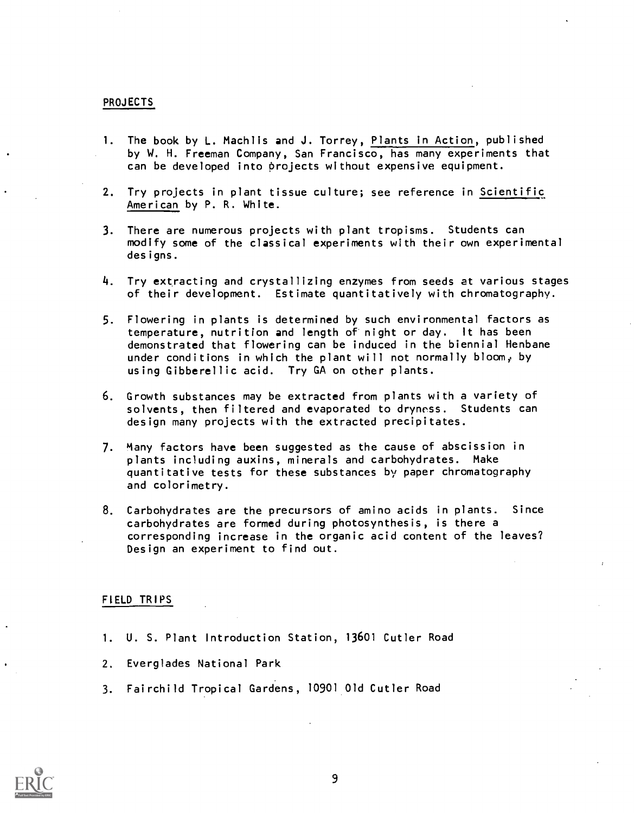#### PROJECTS

- 1. The book by L. Machlis and J. Torrey, Plants in Action, published by W. H. Freeman Company, San Francisco, has many experiments that can be developed into projects without expensive equipment.
- 2. Try projects in plant tissue culture; see reference in Scientific American by P. R. White.
- 3. There are numerous projects with plant tropisms. Students can modify some of the classical experiments with their own experimental designs.
- 4. Try extracting and crystallizing enzymes from seeds at various stages of their development. Estimate quantitatively with chromatography.
- 5. Flowering in plants is determined by such environmental factors as temperature, nutrition and length of night or day. It has been demonstrated that flowering can be induced in the biennial Henbane under conditions in which the plant will not normally bloom,, by using Gibberellic acid. Try GA on other plants.
- 6. Growth substances may be extracted from plants with a variety of solvents, then filtered and evaporated to dryness. Students can design many projects with the extracted precipitates.
- 7. Many factors have been suggested as the cause of abscission in plants including auxins, minerals and carbohydrates. Make quantitative tests for these substances by paper chromatography and colorimetry.
- 8. Carbohydrates are the precursors of amino acids in plants. Since carbohydrates are formed during photosynthesis, is there a corresponding increase in the organic acid content of the leaves? Design an experiment to find out.

#### FIELD TRIPS

- 1. U. S. Plant Introduction Station, 13601 Cutler Road
- 2. Everglades National Park
- 3. Fairchild Tropical Gardens, 10901 Old Cutler Road

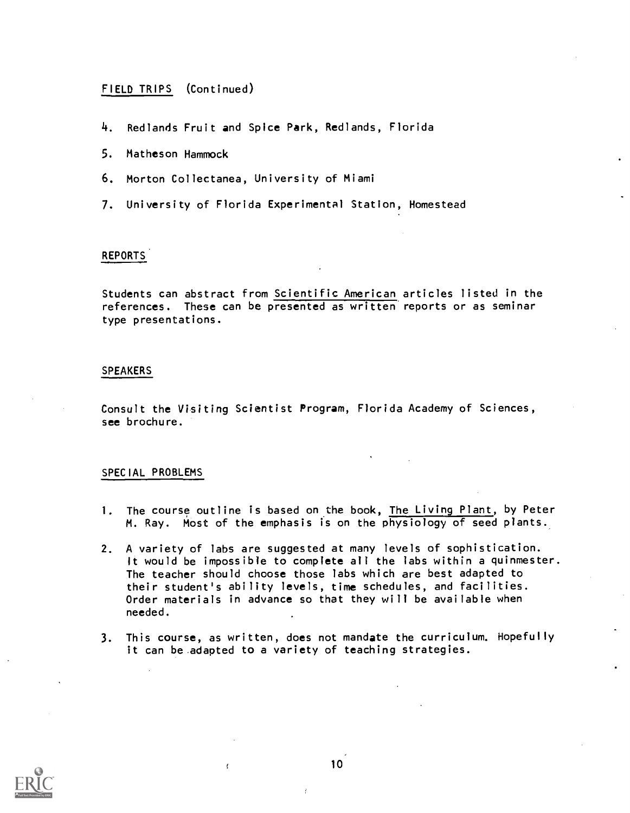#### FIELD TRIPS (Continued)

- 4. Redlands Fruit and Spice Park, Redlands, Florida
- 5. Matheson Hammock
- 6. Morton Collectanea, University of Miami
- 7. University of Florida Experimental Station, Homestead

#### REPORTS

Students can abstract from Scientific American articles listed in the references. These can be presented as written reports or as seminar type presentations.

#### **SPEAKERS**

Consult the Visiting Scientist Program, Florida Academy of Sciences, see brochure.

#### SPECIAL PROBLEMS

- 1. The course outline is based on the book, The Living Plant, by Peter M. Ray. Most of the emphasis is on the physiology of seed plants.
- 2. A variety of labs are suggested at many levels of sophistication. It would be impossible to complete all the labs within a quinmester. The teacher should choose those labs which are best adapted to their student's ability levels, time schedules, and facilities. Order materials in advance so that they will be available when needed.
- 3. This course, as written, does not mandate the curriculum. Hopefully it can be adapted to a variety of teaching strategies.



10

 $\left\langle \right\rangle$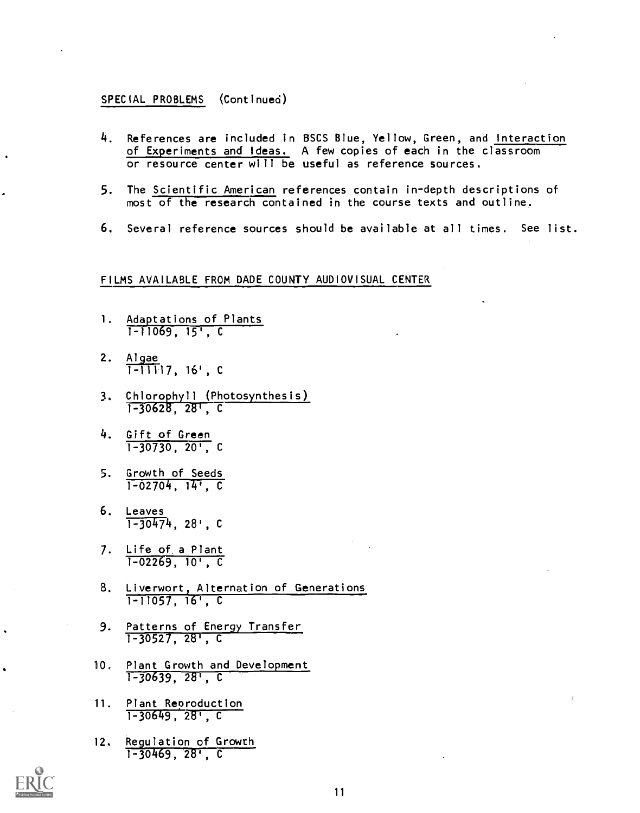#### SPECIAL PROBLEMS (Continued)

- 4. References are included in BSCS Blue, Yellow, Green, and Interaction of Experiments and Ideas. A few copies of each in the classroom or resource center will be useful as reference sources.
- 5. The Scientific American references contain in-depth descriptions of most of the research contained in the course texts and outline.
- 6. Several reference sources should be available at all times. See list.

#### FILMS AVAILABLE FROM DADE COUNTY AUDIOVISUAL CENTER

- 1. Adaptations of Plants 1-11069, 15', C
- 2. <u>Algae</u> 1-11117, 16', C
- 3. Chlorophyll (Photosynthesis) 1-30628, 28', C
- 4. Gift of Green  $1-30730, 20$ , C
- 5. Growth of Seeds 1-02704, 14', C
- 6. Leaves  $\overline{1-30474}$ , 28', C
- 7. Life of a Plant 1-02269, 10', C
- 8. Liverwort, Alternation of Generations 1-11057, C
- 9. Patterns of Energy Transfer 1-30527, 28', C
- 10. Plant Growth and Development 1-30639, 28', C
- 11. Plant Reproduction  $1-30649, 287, C$
- 12. Regulation of Growth 1-30469, 28', C

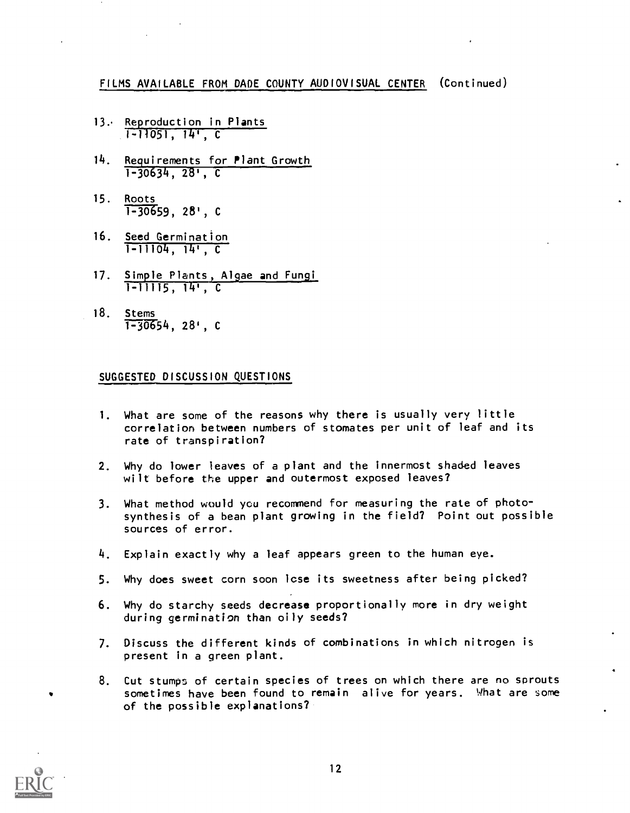- 13. Reproduction in Plants 1-11051, 14', C
- 14. Requirements for Plant Growth  $1-30634, 28, C$
- 15. Roots  $1 - 30659$ , 28', C
- 16. Seed Germination 1-11104, 14', C
- 17. Simple Plants, Algae and Fungi 1-11115, 14', C
- 18. Stems  $T-30654, 28$ ', C

#### SUGGESTED DISCUSSION QUESTIONS

- 1. What are some of the reasons why there is usually very little correlation between numbers of stomates per unit of leaf and its rate of transpiration?
- 2. Why do lower leaves of a plant and the innermost shaded leaves wilt before the upper and outermost exposed leaves?
- 3. What method would you recommend for measuring the rate of photosynthesis of a bean plant growing in the field? Point out possible sources of error.
- 4. Explain exactly why a leaf appears green to the human eye.
- 5. Why does sweet corn soon lose its sweetness after being picked?
- 6. Why do starchy seeds decrease proportionally more in dry weight during germination than oily seeds?
- 7. Discuss the different kinds of combinations in which nitrogen is present in a green plant.
- 8. Cut stumps of certain species of trees on which there are no sprouts sometimes have been found to remain alive for years. What are some of the possible explanations?

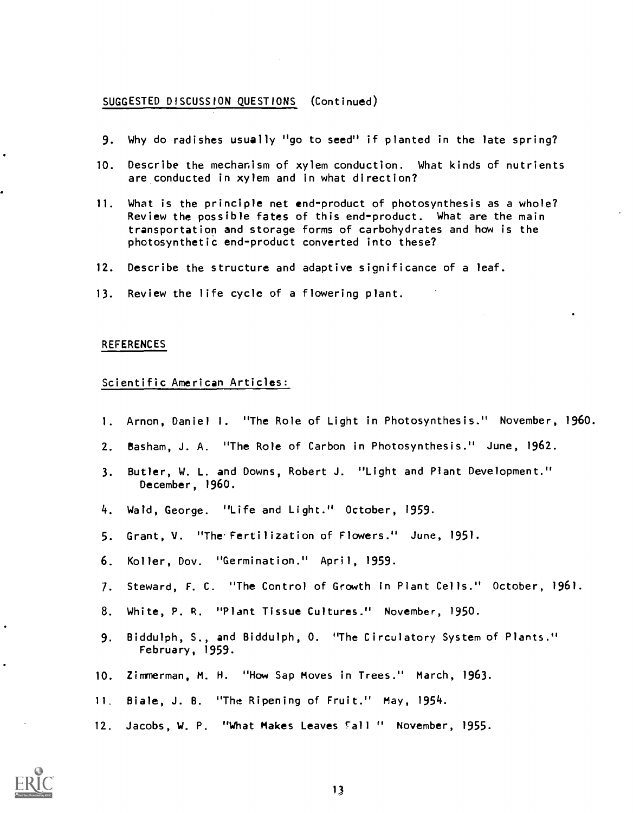#### SUGGESTED DISCUSSION QUESTIONS (Continued)

- 9. Why do radishes usually "go to seed" if planted in the late spring?
- 10. Describe the mechanism of xylem conduction. What kinds of nutrients are conducted in xylem and in what direction?
- 11. What is the principle net end-product of photosynthesis as a whole? Review the possible fates of this end-product. What are the main transportation and storage forms of carbohydrates and how is the photosynthetic end-product converted into these?
- 12. Describe the structure and adaptive significance of a leaf.
- 13. Review the life cycle of a flowering plant.

#### REFERENCES

#### Scientific American Articles:

- 1. Arnon, Daniel I. "The Role of Light in Photosynthesis." November, 1960.
- 2. Basham, J. A. "The Role of Carbon in Photosynthesis." June, 1962.
- 3. Butler, W. L. and Downs, Robert J. "Light and Plant Development." December, 1960.
- 4. Wald, George. "Life and Light." October, 1959.
- 5. Grant, V. "The. Fertilization of Flowers." June, 1951.
- 6. Koller, Dov. "Germination." April, 1959.
- 7. Steward, F. C. "The Control of Growth in Plant Cells." October, 1961.
- 8. White, P. R. "Plant Tissue Cultures." November, 1950.
- 9. Biddulph, S., and Biddulph, O. "The Circulatory System of Plants." February, 1959.
- 10. Zimmerman, M. H. "How Sap Moves in Trees." March, 1963.
- 11. Biale, J. B. "The Ripening of Fruit." May, 1954.
- 12. Jacobs, W. P. "What Makes Leaves fall " November, 1955.

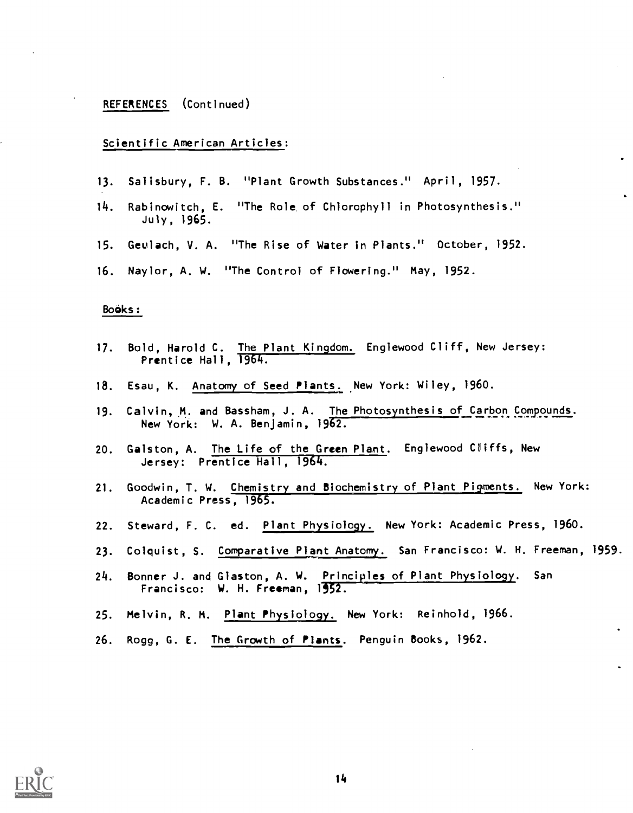#### REFERENCES (Continued)

#### Scientific American Articles:

- 13. Salisbury, F. B. "Plant Growth Substances." April, 1957.
- 14. Rabinowitch, E. "The Role of Chlorophyll in Photosynthesis." July, 1965.
- 15. Geulach, V. A. "The Rise of Water in Plants." October, 1952.
- 16. Naylor, A. W. "The Control of Flowering." May, 1952.

#### Books:

- 17. Bold, Harold C. The Plant Kingdom. Englewood Cliff, New Jersey: Prentice Hall, 1964.
- 18. Esau, K. Anatomy of Seed Plants. New York: Wiley, 1960.
- 19. Calvin, M. and Bassham, J. A. The Photosynthesis of Carbon Compounds. New York: W. A. Benjamin, 1962.
- 20. Galston, A. The Life of the Green Plant. Englewood Cliffs, New Jersey: Prentice Hall, 1964.
- 21. Goodwin, T. W. Chemistry and Biochemistry of Plant Pigments. New York: Academic Press, 1965.
- 22. Steward, F. C. ed. Plant Physiology. New York: Academic Press, 1960.
- 23. Colquist, S. Comparative Plant Anatomy. San Francisco: W. H. Freeman, 1959.
- 24. Bonner J. and Glaston, A. W. Principles of Plant Physiology. San Francisco: W. H. Freeman, 1952.
- 25. Melvin, R. M. Plant Physiology. New York: Reinhold, 1966.
- 26. Rogg, G. E. The Growth of Plants. Penguin Books, 1962.